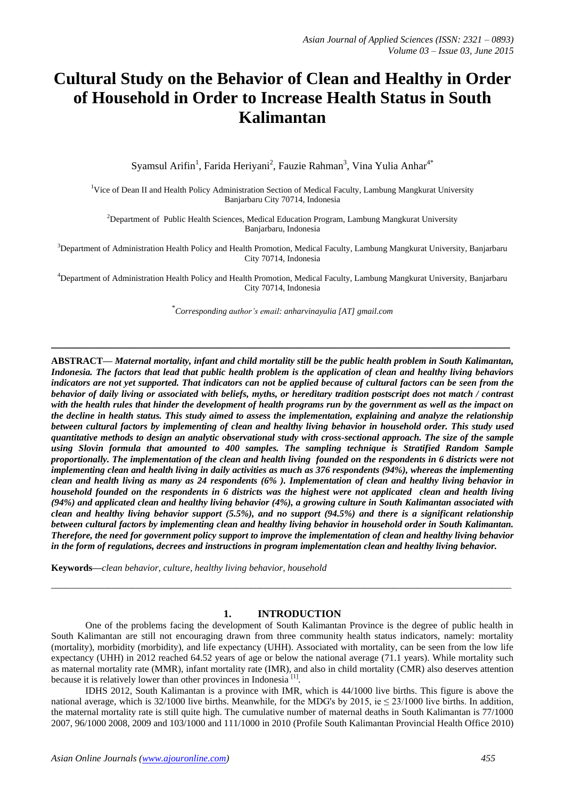# **Cultural Study on the Behavior of Clean and Healthy in Order of Household in Order to Increase Health Status in South Kalimantan**

Syamsul Arifin<sup>1</sup>, Farida Heriyani<sup>2</sup>, Fauzie Rahman<sup>3</sup>, Vina Yulia Anhar<sup>4\*</sup>

<sup>1</sup>Vice of Dean II and Health Policy Administration Section of Medical Faculty, Lambung Mangkurat University Banjarbaru City 70714, Indonesia

<sup>2</sup>Department of Public Health Sciences, Medical Education Program, Lambung Mangkurat University Banjarbaru, Indonesia

 $3$ Department of Administration Health Policy and Health Promotion, Medical Faculty, Lambung Mangkurat University, Banjarbaru City 70714, Indonesia

<sup>4</sup>Department of Administration Health Policy and Health Promotion, Medical Faculty, Lambung Mangkurat University, Banjarbaru City 70714, Indonesia

\* *Corresponding author's email[: anharvinayulia \[AT\] gmail.com](mailto:anharvinayulia@gmail.com)*

**\_\_\_\_\_\_\_\_\_\_\_\_\_\_\_\_\_\_\_\_\_\_\_\_\_\_\_\_\_\_\_\_\_\_\_\_\_\_\_\_\_\_\_\_\_\_\_\_\_\_\_\_\_\_\_\_\_\_\_\_\_\_\_\_\_\_\_\_\_\_\_\_\_\_\_\_\_\_\_\_\_\_\_\_\_\_\_\_**

**ABSTRACT—** *Maternal mortality, infant and child mortality still be the public health problem in South Kalimantan, Indonesia. The factors that lead that public health problem is the application of clean and healthy living behaviors*  indicators are not yet supported. That indicators can not be applied because of cultural factors can be seen from the *behavior of daily living or associated with beliefs, myths, or hereditary tradition postscript does not match / contrast with the health rules that hinder the development of health programs run by the government as well as the impact on the decline in health status. This study aimed to assess the implementation, explaining and analyze the relationship between cultural factors by implementing of clean and healthy living behavior in household order. This study used quantitative methods to design an analytic observational study with cross-sectional approach. The size of the sample using Slovin formula that amounted to 400 samples. The sampling technique is Stratified Random Sample proportionally. The implementation of the clean and health living founded on the respondents in 6 districts were not implementing clean and health living in daily activities as much as 376 respondents (94%), whereas the implementing clean and health living as many as 24 respondents (6% ). Implementation of clean and healthy living behavior in household founded on the respondents in 6 districts was the highest were not applicated clean and health living (94%) and applicated clean and healthy living behavior (4%), a growing culture in South Kalimantan associated with clean and healthy living behavior support (5.5%), and no support (94.5%) and there is a significant relationship between cultural factors by implementing clean and healthy living behavior in household order in South Kalimantan. Therefore, the need for government policy support to improve the implementation of clean and healthy living behavior in the form of regulations, decrees and instructions in program implementation clean and healthy living behavior.*

**Keywords—***clean behavior, culture, healthy living behavior, household*

# **1. INTRODUCTION**

 $\_$  ,  $\_$  ,  $\_$  ,  $\_$  ,  $\_$  ,  $\_$  ,  $\_$  ,  $\_$  ,  $\_$  ,  $\_$  ,  $\_$  ,  $\_$  ,  $\_$  ,  $\_$  ,  $\_$  ,  $\_$  ,  $\_$  ,  $\_$  ,  $\_$  ,  $\_$  ,  $\_$  ,  $\_$  ,  $\_$  ,  $\_$  ,  $\_$  ,  $\_$  ,  $\_$  ,  $\_$  ,  $\_$  ,  $\_$  ,  $\_$  ,  $\_$  ,  $\_$  ,  $\_$  ,  $\_$  ,  $\_$  ,  $\_$  ,

One of the problems facing the development of South Kalimantan Province is the degree of public health in South Kalimantan are still not encouraging drawn from three community health status indicators, namely: mortality (mortality), morbidity (morbidity), and life expectancy (UHH). Associated with mortality, can be seen from the low life expectancy (UHH) in 2012 reached 64.52 years of age or below the national average (71.1 years). While mortality such as maternal mortality rate (MMR), infant mortality rate (IMR), and also in child mortality (CMR) also deserves attention because it is relatively lower than other provinces in Indonesia<sup>[1]</sup>.

IDHS 2012, South Kalimantan is a province with IMR, which is 44/1000 live births. This figure is above the national average, which is 32/1000 live births. Meanwhile, for the MDG's by 2015, ie  $\leq$  23/1000 live births. In addition, the maternal mortality rate is still quite high. The cumulative number of maternal deaths in South Kalimantan is 77/1000 2007, 96/1000 2008, 2009 and 103/1000 and 111/1000 in 2010 (Profile South Kalimantan Provincial Health Office 2010)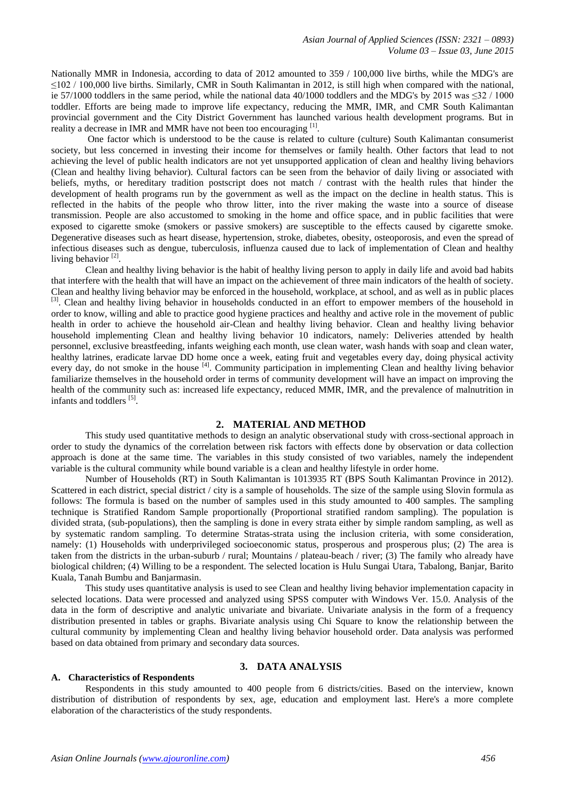Nationally MMR in Indonesia, according to data of 2012 amounted to 359 / 100,000 live births, while the MDG's are  $\leq$ 102 / 100,000 live births. Similarly, CMR in South Kalimantan in 2012, is still high when compared with the national, ie 57/1000 toddlers in the same period, while the national data 40/1000 toddlers and the MDG's by 2015 was ≤32 / 1000 toddler. Efforts are being made to improve life expectancy, reducing the MMR, IMR, and CMR South Kalimantan provincial government and the City District Government has launched various health development programs. But in reality a decrease in IMR and MMR have not been too encouraging [1].

One factor which is understood to be the cause is related to culture (culture) South Kalimantan consumerist society, but less concerned in investing their income for themselves or family health. Other factors that lead to not achieving the level of public health indicators are not yet unsupported application of clean and healthy living behaviors (Clean and healthy living behavior). Cultural factors can be seen from the behavior of daily living or associated with beliefs, myths, or hereditary tradition postscript does not match / contrast with the health rules that hinder the development of health programs run by the government as well as the impact on the decline in health status. This is reflected in the habits of the people who throw litter, into the river making the waste into a source of disease transmission. People are also accustomed to smoking in the home and office space, and in public facilities that were exposed to cigarette smoke (smokers or passive smokers) are susceptible to the effects caused by cigarette smoke. Degenerative diseases such as heart disease, hypertension, stroke, diabetes, obesity, osteoporosis, and even the spread of infectious diseases such as dengue, tuberculosis, influenza caused due to lack of implementation of Clean and healthy living behavior<sup>[2]</sup>.

Clean and healthy living behavior is the habit of healthy living person to apply in daily life and avoid bad habits that interfere with the health that will have an impact on the achievement of three main indicators of the health of society. Clean and healthy living behavior may be enforced in the household, workplace, at school, and as well as in public places [3]. Clean and healthy living behavior in households conducted in an effort to empower members of the household in order to know, willing and able to practice good hygiene practices and healthy and active role in the movement of public health in order to achieve the household air-Clean and healthy living behavior. Clean and healthy living behavior household implementing Clean and healthy living behavior 10 indicators, namely: Deliveries attended by health personnel, exclusive breastfeeding, infants weighing each month, use clean water, wash hands with soap and clean water, healthy latrines, eradicate larvae DD home once a week, eating fruit and vegetables every day, doing physical activity every day, do not smoke in the house <sup>[4]</sup>. Community participation in implementing Clean and healthy living behavior familiarize themselves in the household order in terms of community development will have an impact on improving the health of the community such as: increased life expectancy, reduced MMR, IMR, and the prevalence of malnutrition in infants and toddlers<sup>[5]</sup>.

#### **2. MATERIAL AND METHOD**

This study used quantitative methods to design an analytic observational study with cross-sectional approach in order to study the dynamics of the correlation between risk factors with effects done by observation or data collection approach is done at the same time. The variables in this study consisted of two variables, namely the independent variable is the cultural community while bound variable is a clean and healthy lifestyle in order home.

Number of Households (RT) in South Kalimantan is 1013935 RT (BPS South Kalimantan Province in 2012). Scattered in each district, special district / city is a sample of households. The size of the sample using Slovin formula as follows: The formula is based on the number of samples used in this study amounted to 400 samples. The sampling technique is Stratified Random Sample proportionally (Proportional stratified random sampling). The population is divided strata, (sub-populations), then the sampling is done in every strata either by simple random sampling, as well as by systematic random sampling. To determine Stratas-strata using the inclusion criteria, with some consideration, namely: (1) Households with underprivileged socioeconomic status, prosperous and prosperous plus; (2) The area is taken from the districts in the urban-suburb / rural; Mountains / plateau-beach / river; (3) The family who already have biological children; (4) Willing to be a respondent. The selected location is Hulu Sungai Utara, Tabalong, Banjar, Barito Kuala, Tanah Bumbu and Banjarmasin.

This study uses quantitative analysis is used to see Clean and healthy living behavior implementation capacity in selected locations. Data were processed and analyzed using SPSS computer with Windows Ver. 15.0. Analysis of the data in the form of descriptive and analytic univariate and bivariate. Univariate analysis in the form of a frequency distribution presented in tables or graphs. Bivariate analysis using Chi Square to know the relationship between the cultural community by implementing Clean and healthy living behavior household order. Data analysis was performed based on data obtained from primary and secondary data sources.

## **3. DATA ANALYSIS**

#### **A. Characteristics of Respondents**

Respondents in this study amounted to 400 people from 6 districts/cities. Based on the interview, known distribution of distribution of respondents by sex, age, education and employment last. Here's a more complete elaboration of the characteristics of the study respondents.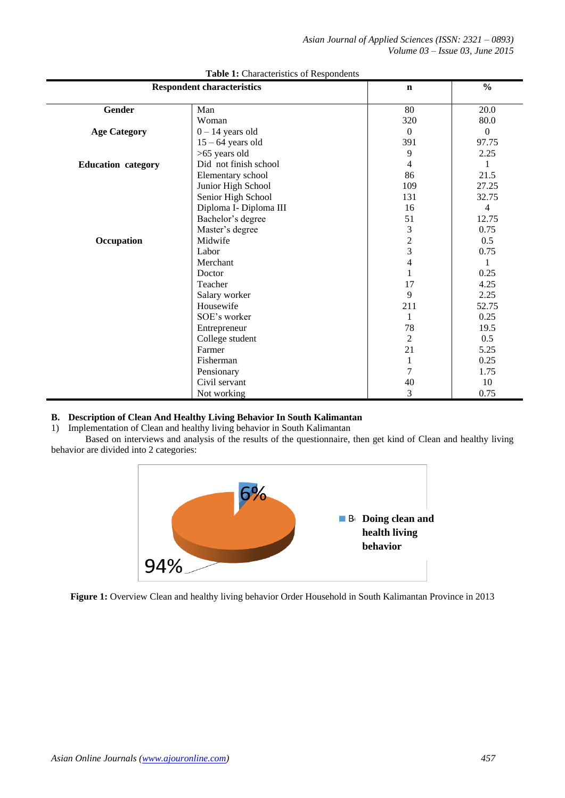*Asian Journal of Applied Sciences (ISSN: 2321 – 0893) Volume 03 – Issue 03, June 2015*

| <b>Respondent characteristics</b> | $\mathbf n$            | $\frac{0}{0}$  |                |
|-----------------------------------|------------------------|----------------|----------------|
| <b>Gender</b>                     | Man                    | 80             | 20.0           |
|                                   | Woman                  | 320            | 80.0           |
| <b>Age Category</b>               | $0 - 14$ years old     | $\theta$       | $\theta$       |
|                                   | $15 - 64$ years old    | 391            | 97.75          |
|                                   | >65 years old          | 9              | 2.25           |
| <b>Education</b> category         | Did not finish school  | 4              | 1              |
|                                   | Elementary school      | 86             | 21.5           |
|                                   | Junior High School     | 109            | 27.25          |
|                                   | Senior High School     | 131            | 32.75          |
|                                   | Diploma I- Diploma III | 16             | $\overline{4}$ |
|                                   | Bachelor's degree      | 51             | 12.75          |
|                                   | Master's degree        | 3              | 0.75           |
| Occupation                        | Midwife                | $\overline{c}$ | 0.5            |
|                                   | Labor                  | $\overline{3}$ | 0.75           |
|                                   | Merchant               | $\overline{4}$ |                |
|                                   | Doctor                 | $\mathbf{1}$   | 0.25           |
|                                   | Teacher                | 17             | 4.25           |
|                                   | Salary worker          | 9              | 2.25           |
|                                   | Housewife              | 211            | 52.75          |
|                                   | SOE's worker           | 1              | 0.25           |
|                                   | Entrepreneur           | 78             | 19.5           |
|                                   | College student        | $\overline{2}$ | 0.5            |
|                                   | Farmer                 | 21             | 5.25           |
|                                   | Fisherman              | 1              | 0.25           |
| Pensionary                        |                        | 7              | 1.75           |
|                                   | Civil servant          | 40             | 10             |
|                                   | Not working            | 3              | 0.75           |

## **Table 1:** Characteristics of Respondents

# **B. Description of Clean And Healthy Living Behavior In South Kalimantan**

1) Implementation of Clean and healthy living behavior in South Kalimantan

Based on interviews and analysis of the results of the questionnaire, then get kind of Clean and healthy living behavior are divided into 2 categories:



**Figure 1:** Overview Clean and healthy living behavior Order Household in South Kalimantan Province in 2013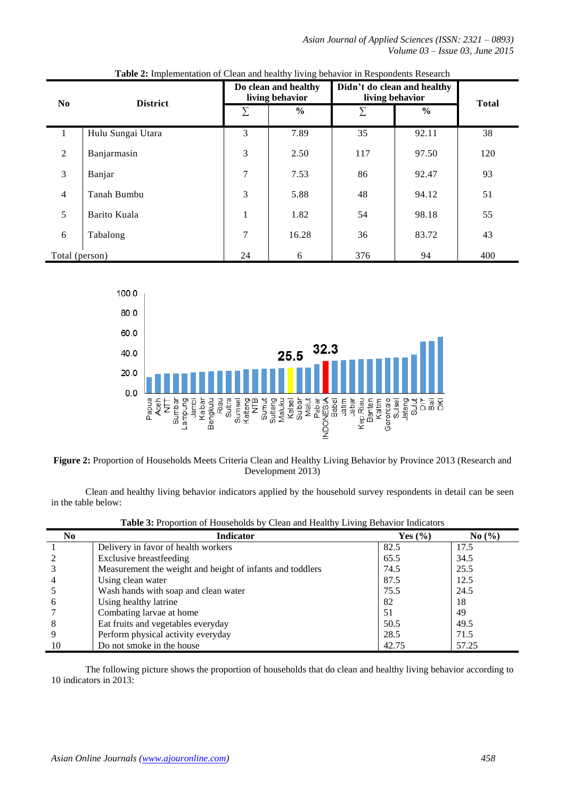*Asian Journal of Applied Sciences (ISSN: 2321 – 0893) Volume 03 – Issue 03, June 2015*

|                          | <b>District</b>   | Do clean and healthy<br>living behavior |               | Didn't do clean and healthy<br>living behavior |               | <b>Total</b> |
|--------------------------|-------------------|-----------------------------------------|---------------|------------------------------------------------|---------------|--------------|
| N <sub>0</sub>           |                   | Σ                                       | $\frac{6}{9}$ | Σ                                              | $\frac{6}{9}$ |              |
| $\mathbf{I}$             | Hulu Sungai Utara | 3                                       | 7.89          | 35                                             | 92.11         | 38           |
| 2                        | Banjarmasin       | 3                                       | 2.50          | 117                                            | 97.50         | 120          |
| 3                        | Banjar            | 7                                       | 7.53          | 86                                             | 92.47         | 93           |
| $\overline{\mathcal{L}}$ | Tanah Bumbu       | 3                                       | 5.88          | 48                                             | 94.12         | 51           |
| 5                        | Barito Kuala      | 1                                       | 1.82          | 54                                             | 98.18         | 55           |
| 6                        | Tabalong          | 7                                       | 16.28         | 36                                             | 83.72         | 43           |
| Total (person)           |                   | 24                                      | 6             | 376                                            | 94            | 400          |

**Table 2:** Implementation of Clean and healthy living behavior in Respondents Research



**Figure 2:** Proportion of Households Meets Criteria Clean and Healthy Living Behavior by Province 2013 (Research and Development 2013)

Clean and healthy living behavior indicators applied by the household survey respondents in detail can be seen in the table below:

| No             | <b>Indicator</b>                                          | Yes $(\% )$ | No(%) |
|----------------|-----------------------------------------------------------|-------------|-------|
|                | Delivery in favor of health workers                       | 82.5        | 17.5  |
|                | <b>Exclusive breastfeeding</b>                            | 65.5        | 34.5  |
|                | Measurement the weight and height of infants and toddlers | 74.5        | 25.5  |
| $\overline{4}$ | Using clean water                                         | 87.5        | 12.5  |
|                | Wash hands with soap and clean water                      | 75.5        | 24.5  |
| 6              | Using healthy latrine                                     | 82          | 18    |
|                | Combating larvae at home                                  | 51          | 49    |
| 8              | Eat fruits and vegetables everyday                        | 50.5        | 49.5  |
| 9              | Perform physical activity everyday                        | 28.5        | 71.5  |
| 10             | Do not smoke in the house                                 | 42.75       | 57.25 |

**Table 3:** Proportion of Households by Clean and Healthy Living Behavior Indicators

The following picture shows the proportion of households that do clean and healthy living behavior according to 10 indicators in 2013: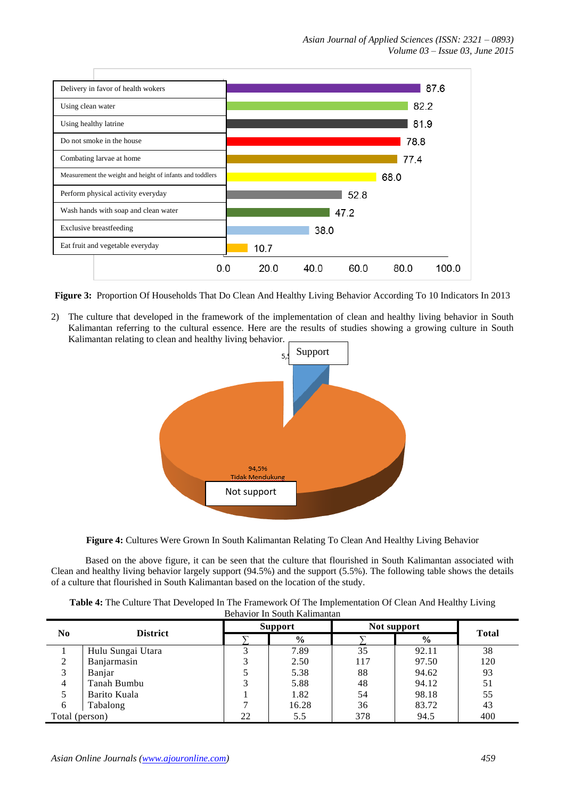

**Figure 3:** Proportion Of Households That Do Clean And Healthy Living Behavior According To 10 Indicators In 2013

2) The culture that developed in the framework of the implementation of clean and healthy living behavior in South Kalimantan referring to the cultural essence. Here are the results of studies showing a growing culture in South Kalimantan relating to clean and healthy living behavior.



**Figure 4:** Cultures Were Grown In South Kalimantan Relating To Clean And Healthy Living Behavior

Based on the above figure, it can be seen that the culture that flourished in South Kalimantan associated with Clean and healthy living behavior largely support (94.5%) and the support (5.5%). The following table shows the details of a culture that flourished in South Kalimantan based on the location of the study.

| Table 4: The Culture That Developed In The Framework Of The Implementation Of Clean And Healthy Living |  |
|--------------------------------------------------------------------------------------------------------|--|
| Behavior In South Kalimantan                                                                           |  |

| N <sub>0</sub> | <b>District</b>   | <b>Support</b> |       | Not support |       |              |
|----------------|-------------------|----------------|-------|-------------|-------|--------------|
|                |                   |                | $\%$  |             | $\%$  | <b>Total</b> |
|                | Hulu Sungai Utara |                | 7.89  | 35          | 92.11 | 38           |
| 2              | Banjarmasin       |                | 2.50  | 117         | 97.50 | 120          |
| 3              | Banjar            |                | 5.38  | 88          | 94.62 | 93           |
| $\overline{4}$ | Tanah Bumbu       |                | 5.88  | 48          | 94.12 | 51           |
| 5              | Barito Kuala      |                | 1.82  | 54          | 98.18 | 55           |
| 6              | Tabalong          |                | 16.28 | 36          | 83.72 | 43           |
| Total (person) |                   | 22             | 5.5   | 378         | 94.5  | 400          |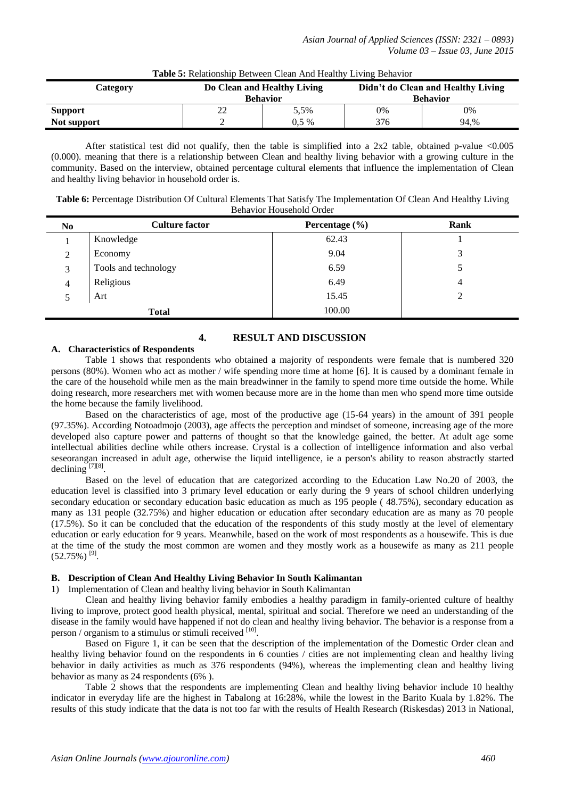| Category       | Do Clean and Healthy Living<br><b>Behavior</b> |         | Didn't do Clean and Healthy Living<br><b>Behavior</b> |      |  |
|----------------|------------------------------------------------|---------|-------------------------------------------------------|------|--|
| <b>Support</b> | ∠∠                                             | 5.5%    | 0%                                                    | 0%   |  |
| Not support    |                                                | $0.5\%$ | 376                                                   | 94.% |  |

### **Table 5:** Relationship Between Clean And Healthy Living Behavior

After statistical test did not qualify, then the table is simplified into a  $2x2$  table, obtained p-value <0.005 (0.000). meaning that there is a relationship between Clean and healthy living behavior with a growing culture in the community. Based on the interview, obtained percentage cultural elements that influence the implementation of Clean and healthy living behavior in household order is.

**Table 6:** Percentage Distribution Of Cultural Elements That Satisfy The Implementation Of Clean And Healthy Living Behavior Household Order

| N <sub>0</sub> | <b>Culture factor</b> | Percentage $(\% )$ | Rank |
|----------------|-----------------------|--------------------|------|
|                | Knowledge             | 62.43              |      |
| 2              | Economy               | 9.04               | 3    |
| 3              | Tools and technology  | 6.59               |      |
| 4              | Religious             | 6.49               | 4    |
|                | Art                   | 15.45              |      |
|                | <b>Total</b>          | 100.00             |      |

# **4. RESULT AND DISCUSSION**

# **A. Characteristics of Respondents**

Table 1 shows that respondents who obtained a majority of respondents were female that is numbered 320 persons (80%). Women who act as mother / wife spending more time at home [6]. It is caused by a dominant female in the care of the household while men as the main breadwinner in the family to spend more time outside the home. While doing research, more researchers met with women because more are in the home than men who spend more time outside the home because the family livelihood.

Based on the characteristics of age, most of the productive age (15-64 years) in the amount of 391 people (97.35%). According Notoadmojo (2003), age affects the perception and mindset of someone, increasing age of the more developed also capture power and patterns of thought so that the knowledge gained, the better. At adult age some intellectual abilities decline while others increase. Crystal is a collection of intelligence information and also verbal seseorangan increased in adult age, otherwise the liquid intelligence, ie a person's ability to reason abstractly started declining  $^{[7][8]}$ .

Based on the level of education that are categorized according to the Education Law No.20 of 2003, the education level is classified into 3 primary level education or early during the 9 years of school children underlying secondary education or secondary education basic education as much as 195 people ( 48.75%), secondary education as many as 131 people (32.75%) and higher education or education after secondary education are as many as 70 people (17.5%). So it can be concluded that the education of the respondents of this study mostly at the level of elementary education or early education for 9 years. Meanwhile, based on the work of most respondents as a housewife. This is due at the time of the study the most common are women and they mostly work as a housewife as many as 211 people  $(52.75\%)$ <sup>[9]</sup>.

# **B. Description of Clean And Healthy Living Behavior In South Kalimantan**

1) Implementation of Clean and healthy living behavior in South Kalimantan

Clean and healthy living behavior family embodies a healthy paradigm in family-oriented culture of healthy living to improve, protect good health physical, mental, spiritual and social. Therefore we need an understanding of the disease in the family would have happened if not do clean and healthy living behavior. The behavior is a response from a person / organism to a stimulus or stimuli received [10].

Based on Figure 1, it can be seen that the description of the implementation of the Domestic Order clean and healthy living behavior found on the respondents in 6 counties / cities are not implementing clean and healthy living behavior in daily activities as much as 376 respondents (94%), whereas the implementing clean and healthy living behavior as many as 24 respondents (6% ).

Table 2 shows that the respondents are implementing Clean and healthy living behavior include 10 healthy indicator in everyday life are the highest in Tabalong at 16:28%, while the lowest in the Barito Kuala by 1.82%. The results of this study indicate that the data is not too far with the results of Health Research (Riskesdas) 2013 in National,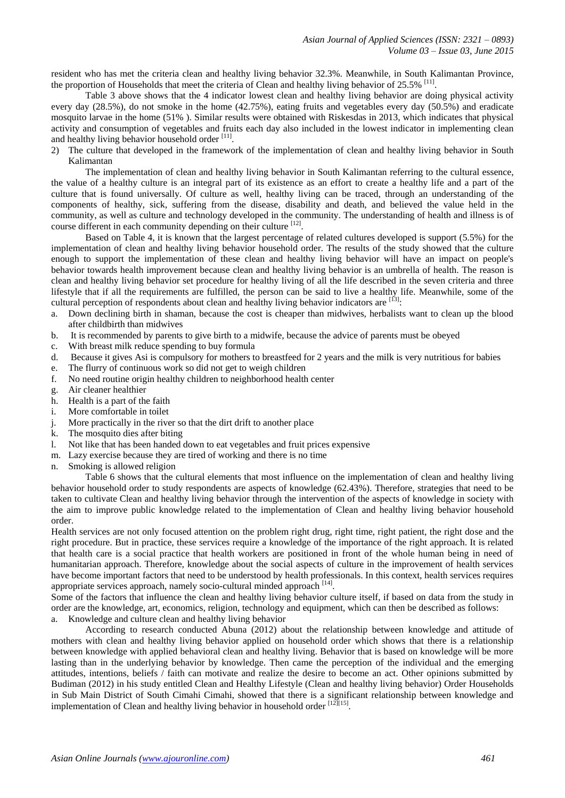resident who has met the criteria clean and healthy living behavior 32.3%. Meanwhile, in South Kalimantan Province, the proportion of Households that meet the criteria of Clean and healthy living behavior of 25.5% [11].

Table 3 above shows that the 4 indicator lowest clean and healthy living behavior are doing physical activity every day (28.5%), do not smoke in the home (42.75%), eating fruits and vegetables every day (50.5%) and eradicate mosquito larvae in the home (51% ). Similar results were obtained with Riskesdas in 2013, which indicates that physical activity and consumption of vegetables and fruits each day also included in the lowest indicator in implementing clean and healthy living behavior household order [11].

2) The culture that developed in the framework of the implementation of clean and healthy living behavior in South Kalimantan

The implementation of clean and healthy living behavior in South Kalimantan referring to the cultural essence, the value of a healthy culture is an integral part of its existence as an effort to create a healthy life and a part of the culture that is found universally. Of culture as well, healthy living can be traced, through an understanding of the components of healthy, sick, suffering from the disease, disability and death, and believed the value held in the community, as well as culture and technology developed in the community. The understanding of health and illness is of course different in each community depending on their culture [12].

Based on Table 4, it is known that the largest percentage of related cultures developed is support (5.5%) for the implementation of clean and healthy living behavior household order. The results of the study showed that the culture enough to support the implementation of these clean and healthy living behavior will have an impact on people's behavior towards health improvement because clean and healthy living behavior is an umbrella of health. The reason is clean and healthy living behavior set procedure for healthy living of all the life described in the seven criteria and three lifestyle that if all the requirements are fulfilled, the person can be said to live a healthy life. Meanwhile, some of the cultural perception of respondents about clean and healthy living behavior indicators are  $^{[13]}:$ 

- a. Down declining birth in shaman, because the cost is cheaper than midwives, herbalists want to clean up the blood after childbirth than midwives
- b. It is recommended by parents to give birth to a midwife, because the advice of parents must be obeyed
- c. With breast milk reduce spending to buy formula
- d. Because it gives Asi is compulsory for mothers to breastfeed for 2 years and the milk is very nutritious for babies
- e. The flurry of continuous work so did not get to weigh children
- f. No need routine origin healthy children to neighborhood health center
- g. Air cleaner healthier
- h. Health is a part of the faith
- i. More comfortable in toilet
- j. More practically in the river so that the dirt drift to another place
- k. The mosquito dies after biting
- l. Not like that has been handed down to eat vegetables and fruit prices expensive
- m. Lazy exercise because they are tired of working and there is no time
- n. Smoking is allowed religion

Table 6 shows that the cultural elements that most influence on the implementation of clean and healthy living behavior household order to study respondents are aspects of knowledge (62.43%). Therefore, strategies that need to be taken to cultivate Clean and healthy living behavior through the intervention of the aspects of knowledge in society with the aim to improve public knowledge related to the implementation of Clean and healthy living behavior household order.

Health services are not only focused attention on the problem right drug, right time, right patient, the right dose and the right procedure. But in practice, these services require a knowledge of the importance of the right approach. It is related that health care is a social practice that health workers are positioned in front of the whole human being in need of humanitarian approach. Therefore, knowledge about the social aspects of culture in the improvement of health services have become important factors that need to be understood by health professionals. In this context, health services requires appropriate services approach, namely socio-cultural minded approach [14].

Some of the factors that influence the clean and healthy living behavior culture itself, if based on data from the study in order are the knowledge, art, economics, religion, technology and equipment, which can then be described as follows: a. Knowledge and culture clean and healthy living behavior

According to research conducted Abuna (2012) about the relationship between knowledge and attitude of mothers with clean and healthy living behavior applied on household order which shows that there is a relationship between knowledge with applied behavioral clean and healthy living. Behavior that is based on knowledge will be more lasting than in the underlying behavior by knowledge. Then came the perception of the individual and the emerging attitudes, intentions, beliefs / faith can motivate and realize the desire to become an act. Other opinions submitted by Budiman (2012) in his study entitled Clean and Healthy Lifestyle (Clean and healthy living behavior) Order Households in Sub Main District of South Cimahi Cimahi, showed that there is a significant relationship between knowledge and implementation of Clean and healthy living behavior in household order  $[12][15]$ .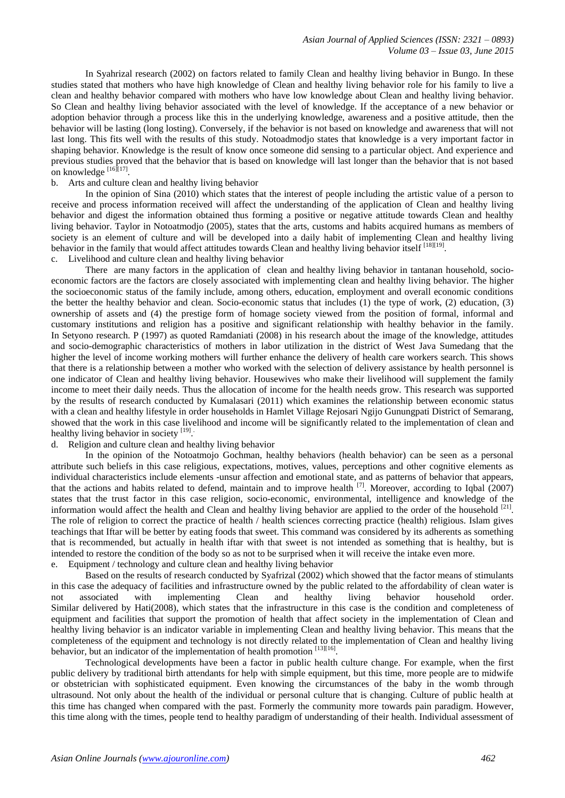In Syahrizal research (2002) on factors related to family Clean and healthy living behavior in Bungo. In these studies stated that mothers who have high knowledge of Clean and healthy living behavior role for his family to live a clean and healthy behavior compared with mothers who have low knowledge about Clean and healthy living behavior. So Clean and healthy living behavior associated with the level of knowledge. If the acceptance of a new behavior or adoption behavior through a process like this in the underlying knowledge, awareness and a positive attitude, then the behavior will be lasting (long losting). Conversely, if the behavior is not based on knowledge and awareness that will not last long. This fits well with the results of this study. Notoadmodjo states that knowledge is a very important factor in shaping behavior. Knowledge is the result of know once someone did sensing to a particular object. And experience and previous studies proved that the behavior that is based on knowledge will last longer than the behavior that is not based on knowledge  $^{[16]}$ [17].

# b. Arts and culture clean and healthy living behavior

In the opinion of Sina (2010) which states that the interest of people including the artistic value of a person to receive and process information received will affect the understanding of the application of Clean and healthy living behavior and digest the information obtained thus forming a positive or negative attitude towards Clean and healthy living behavior. Taylor in Notoatmodjo (2005), states that the arts, customs and habits acquired humans as members of society is an element of culture and will be developed into a daily habit of implementing Clean and healthy living behavior in the family that would affect attitudes towards Clean and healthy living behavior itself [18][19]. c. Livelihood and culture clean and healthy living behavior

There are many factors in the application of clean and healthy living behavior in tantanan household, socioeconomic factors are the factors are closely associated with implementing clean and healthy living behavior. The higher the socioeconomic status of the family include, among others, education, employment and overall economic conditions the better the healthy behavior and clean. Socio-economic status that includes (1) the type of work, (2) education, (3) ownership of assets and (4) the prestige form of homage society viewed from the position of formal, informal and customary institutions and religion has a positive and significant relationship with healthy behavior in the family. In Setyono research. P (1997) as quoted Ramdaniati (2008) in his research about the image of the knowledge, attitudes and socio-demographic characteristics of mothers in labor utilization in the district of West Java Sumedang that the higher the level of income working mothers will further enhance the delivery of health care workers search. This shows that there is a relationship between a mother who worked with the selection of delivery assistance by health personnel is one indicator of Clean and healthy living behavior. Housewives who make their livelihood will supplement the family income to meet their daily needs. Thus the allocation of income for the health needs grow. This research was supported by the results of research conducted by Kumalasari (2011) which examines the relationship between economic status with a clean and healthy lifestyle in order households in Hamlet Village Rejosari Ngijo Gunungpati District of Semarang, showed that the work in this case livelihood and income will be significantly related to the implementation of clean and healthy living behavior in society [19].

# d. Religion and culture clean and healthy living behavior

In the opinion of the Notoatmojo Gochman, healthy behaviors (health behavior) can be seen as a personal attribute such beliefs in this case religious, expectations, motives, values, perceptions and other cognitive elements as individual characteristics include elements -unsur affection and emotional state, and as patterns of behavior that appears, that the actions and habits related to defend, maintain and to improve health  $^{[7]}$ . Moreover, according to Iqbal (2007) states that the trust factor in this case religion, socio-economic, environmental, intelligence and knowledge of the information would affect the health and Clean and healthy living behavior are applied to the order of the household [21]. The role of religion to correct the practice of health / health sciences correcting practice (health) religious. Islam gives teachings that Iftar will be better by eating foods that sweet. This command was considered by its adherents as something that is recommended, but actually in health iftar with that sweet is not intended as something that is healthy, but is intended to restore the condition of the body so as not to be surprised when it will receive the intake even more. e. Equipment / technology and culture clean and healthy living behavior

Based on the results of research conducted by Syafrizal (2002) which showed that the factor means of stimulants in this case the adequacy of facilities and infrastructure owned by the public related to the affordability of clean water is not associated with implementing Clean and healthy living behavior household order. Similar delivered by Hati(2008), which states that the infrastructure in this case is the condition and completeness of equipment and facilities that support the promotion of health that affect society in the implementation of Clean and healthy living behavior is an indicator variable in implementing Clean and healthy living behavior. This means that the completeness of the equipment and technology is not directly related to the implementation of Clean and healthy living behavior, but an indicator of the implementation of health promotion [13][16].

Technological developments have been a factor in public health culture change. For example, when the first public delivery by traditional birth attendants for help with simple equipment, but this time, more people are to midwife or obstetrician with sophisticated equipment. Even knowing the circumstances of the baby in the womb through ultrasound. Not only about the health of the individual or personal culture that is changing. Culture of public health at this time has changed when compared with the past. Formerly the community more towards pain paradigm. However, this time along with the times, people tend to healthy paradigm of understanding of their health. Individual assessment of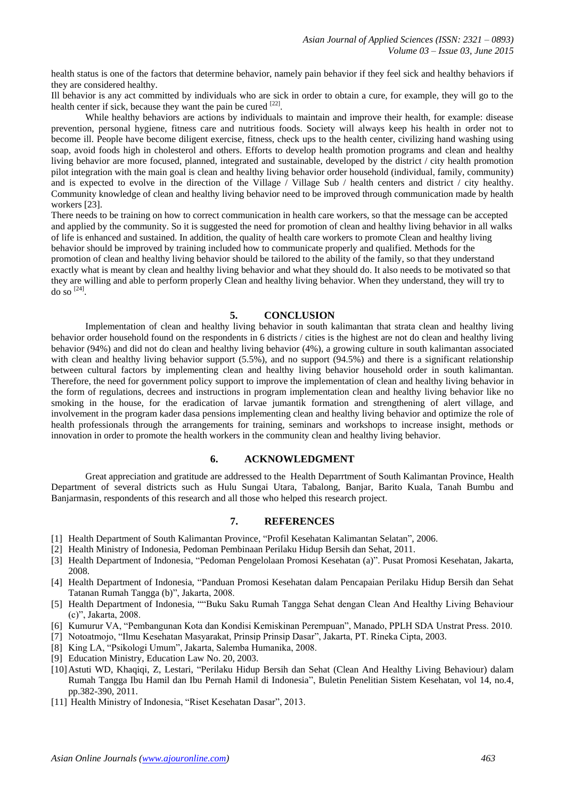health status is one of the factors that determine behavior, namely pain behavior if they feel sick and healthy behaviors if they are considered healthy.

Ill behavior is any act committed by individuals who are sick in order to obtain a cure, for example, they will go to the health center if sick, because they want the pain be cured  $[22]$ .

While healthy behaviors are actions by individuals to maintain and improve their health, for example: disease prevention, personal hygiene, fitness care and nutritious foods. Society will always keep his health in order not to become ill. People have become diligent exercise, fitness, check ups to the health center, civilizing hand washing using soap, avoid foods high in cholesterol and others. Efforts to develop health promotion programs and clean and healthy living behavior are more focused, planned, integrated and sustainable, developed by the district / city health promotion pilot integration with the main goal is clean and healthy living behavior order household (individual, family, community) and is expected to evolve in the direction of the Village  $\overline{\ }$  Village Sub  $\overline{\ }$  health centers and district  $\overline{\ }$  city healthy. Community knowledge of clean and healthy living behavior need to be improved through communication made by health workers [23].

There needs to be training on how to correct communication in health care workers, so that the message can be accepted and applied by the community. So it is suggested the need for promotion of clean and healthy living behavior in all walks of life is enhanced and sustained. In addition, the quality of health care workers to promote Clean and healthy living behavior should be improved by training included how to communicate properly and qualified. Methods for the promotion of clean and healthy living behavior should be tailored to the ability of the family, so that they understand exactly what is meant by clean and healthy living behavior and what they should do. It also needs to be motivated so that they are willing and able to perform properly Clean and healthy living behavior. When they understand, they will try to do so  $^{[24]}$ .

## **5. CONCLUSION**

Implementation of clean and healthy living behavior in south kalimantan that strata clean and healthy living behavior order household found on the respondents in 6 districts / cities is the highest are not do clean and healthy living behavior (94%) and did not do clean and healthy living behavior (4%), a growing culture in south kalimantan associated with clean and healthy living behavior support (5.5%), and no support (94.5%) and there is a significant relationship between cultural factors by implementing clean and healthy living behavior household order in south kalimantan. Therefore, the need for government policy support to improve the implementation of clean and healthy living behavior in the form of regulations, decrees and instructions in program implementation clean and healthy living behavior like no smoking in the house, for the eradication of larvae jumantik formation and strengthening of alert village, and involvement in the program kader dasa pensions implementing clean and healthy living behavior and optimize the role of health professionals through the arrangements for training, seminars and workshops to increase insight, methods or innovation in order to promote the health workers in the community clean and healthy living behavior.

### **6. ACKNOWLEDGMENT**

Great appreciation and gratitude are addressed to the Health Deparrtment of South Kalimantan Province, Health Department of several districts such as Hulu Sungai Utara, Tabalong, Banjar, Barito Kuala, Tanah Bumbu and Banjarmasin, respondents of this research and all those who helped this research project.

# **7. REFERENCES**

- [1] Health Department of South Kalimantan Province, "Profil Kesehatan Kalimantan Selatan", 2006.
- [2] Health Ministry of Indonesia, Pedoman Pembinaan Perilaku Hidup Bersih dan Sehat, 2011.
- [3] Health Department of Indonesia, "Pedoman Pengelolaan Promosi Kesehatan (a)". Pusat Promosi Kesehatan, Jakarta, 2008.
- [4] Health Department of Indonesia, "Panduan Promosi Kesehatan dalam Pencapaian Perilaku Hidup Bersih dan Sehat Tatanan Rumah Tangga (b)", Jakarta, 2008.
- [5] Health Department of Indonesia, ""Buku Saku Rumah Tangga Sehat dengan Clean And Healthy Living Behaviour (c)", Jakarta, 2008.
- [6] Kumurur VA, "Pembangunan Kota dan Kondisi Kemiskinan Perempuan", Manado, PPLH SDA Unstrat Press. 2010.
- [7] Notoatmojo, "Ilmu Kesehatan Masyarakat, Prinsip Prinsip Dasar", Jakarta, PT. Rineka Cipta, 2003.
- [8] King LA, "Psikologi Umum", Jakarta, Salemba Humanika, 2008.
- [9] Education Ministry, Education Law No. 20, 2003.
- [10]Astuti WD, Khaqiqi, Z, Lestari, "Perilaku Hidup Bersih dan Sehat (Clean And Healthy Living Behaviour) dalam Rumah Tangga Ibu Hamil dan Ibu Pernah Hamil di Indonesia", Buletin Penelitian Sistem Kesehatan, vol 14, no.4, pp.382-390, 2011.
- [11] Health Ministry of Indonesia, "Riset Kesehatan Dasar", 2013.